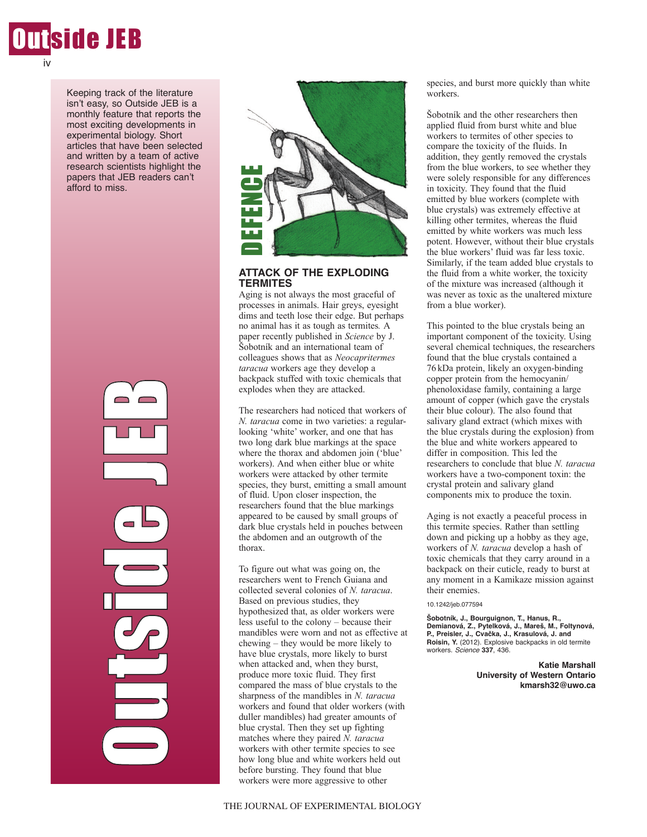

Keeping track of the literature isn't easy, so Outside JEB is a monthly feature that reports the most exciting developments in experimental biology. Short articles that have been selected and written by a team of active research scientists highlight the papers that JEB readers can't afford to miss.





### **ATTACK OF THE EXPLODING TERMITES**

Aging is not always the most graceful of processes in animals. Hair greys, eyesight dims and teeth lose their edge. But perhaps no animal has it as tough as termites*.* A paper recently published in *Science* by J. Šobotník and an international team of colleagues shows that as *Neocapritermes taracua* workers age they develop a backpack stuffed with toxic chemicals that explodes when they are attacked.

The researchers had noticed that workers of *N. taracua* come in two varieties: a regularlooking 'white' worker, and one that has two long dark blue markings at the space where the thorax and abdomen join ('blue' workers). And when either blue or white workers were attacked by other termite species, they burst, emitting a small amount of fluid. Upon closer inspection, the researchers found that the blue markings appeared to be caused by small groups of dark blue crystals held in pouches between the abdomen and an outgrowth of the thorax.

To figure out what was going on, the researchers went to French Guiana and collected several colonies of *N. taracua*. Based on previous studies, they hypothesized that, as older workers were less useful to the colony – because their mandibles were worn and not as effective at chewing – they would be more likely to have blue crystals, more likely to burst when attacked and, when they burst, produce more toxic fluid. They first compared the mass of blue crystals to the sharpness of the mandibles in *N. taracua* workers and found that older workers (with duller mandibles) had greater amounts of blue crystal. Then they set up fighting matches where they paired *N. taracua* workers with other termite species to see how long blue and white workers held out before bursting. They found that blue **EXERCT SET THE EXPLODING**<br> **EXERCT THE EXPLODING**<br> **EXERCT THE EXPLODING**<br> **EXERCT THE EXPLODING**<br> **EXERCT THE EXPLODING**<br> **EXERCT THE EXPLODING**<br> **EXERCT THE SET AND**<br> **EXERCT**<br> **EXECT THE SET AND**<br> **EXECT AND**<br> **EXECT A** 

species, and burst more quickly than white workers.

Šobotník and the other researchers then applied fluid from burst white and blue workers to termites of other species to compare the toxicity of the fluids. In addition, they gently removed the crystals from the blue workers, to see whether they were solely responsible for any differences in toxicity. They found that the fluid emitted by blue workers (complete with blue crystals) was extremely effective at killing other termites, whereas the fluid emitted by white workers was much less potent. However, without their blue crystals the blue workers' fluid was far less toxic. Similarly, if the team added blue crystals to the fluid from a white worker, the toxicity of the mixture was increased (although it was never as toxic as the unaltered mixture from a blue worker).

This pointed to the blue crystals being an important component of the toxicity. Using several chemical techniques, the researchers found that the blue crystals contained a 76 kDa protein, likely an oxygen-binding copper protein from the hemocyanin/ phenoloxidase family, containing a large amount of copper (which gave the crystals their blue colour). The also found that salivary gland extract (which mixes with the blue crystals during the explosion) from the blue and white workers appeared to differ in composition. This led the researchers to conclude that blue *N. taracua* workers have a two-component toxin: the crystal protein and salivary gland components mix to produce the toxin.

Aging is not exactly a peaceful process in this termite species. Rather than settling down and picking up a hobby as they age, workers of *N. taracua* develop a hash of toxic chemicals that they carry around in a backpack on their cuticle, ready to burst at any moment in a Kamikaze mission against their enemies.

10.1242/jeb.077594

**Šobotník, J., Bourguignon, T., Hanus, R., Demianová, Z., Pytelková, J., Mareš, M., Foltynová, P., Preisler, J., Cvačka, J., Krasulová, J. and Roisin, Y.** (2012). Explosive backpacks in old termite workers. *Science* **337**, 436.

> **Katie Marshall University of Western Ontario kmarsh32@uwo.ca**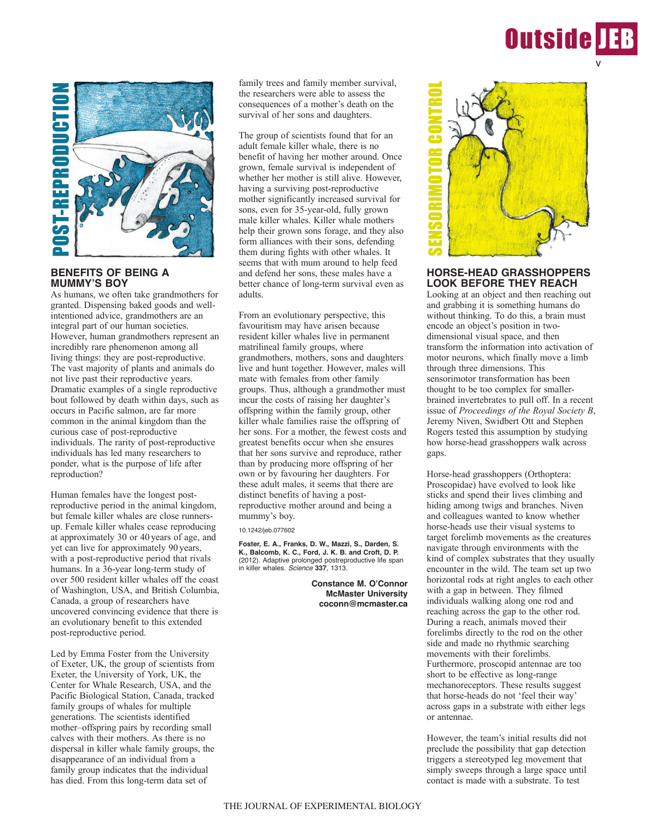



# **BENEFITS OF BEING A MUMMY'S BOY**

As humans, we often take grandmothers for granted. Dispensing baked goods and wellintentioned advice, grandmothers are an integral part of our human societies. However, human grandmothers represent an incredibly rare phenomenon among all living things: they are post-reproductive. The vast majority of plants and animals do not live past their reproductive years. Dramatic examples of a single reproductive bout followed by death within days, such as occurs in Pacific salmon, are far more common in the animal kingdom than the curious case of post-reproductive individuals. The rarity of post-reproductive individuals has led many researchers to ponder, what is the purpose of life after reproduction?

Human females have the longest postreproductive period in the animal kingdom, but female killer whales are close runnersup. Female killer whales cease reproducing at approximately 30 or 40 years of age, and yet can live for approximately 90 years, with a post-reproductive period that rivals humans. In a 36-year long-term study of over 500 resident killer whales off the coast of Washington, USA, and British Columbia, Canada, a group of researchers have uncovered convincing evidence that there is an evolutionary benefit to this extended post-reproductive period.

Led by Emma Foster from the University of Exeter, UK, the group of scientists from Exeter, the University of York, UK, the Center for Whale Research, USA, and the Pacific Biological Station, Canada, tracked family groups of whales for multiple generations. The scientists identified mother–offspring pairs by recording small calves with their mothers. As there is no dispersal in killer whale family groups, the disappearance of an individual from a family group indicates that the individual has died. From this long-term data set of

family trees and family member survival, the researchers were able to assess the consequences of a mother's death on the survival of her sons and daughters.

The group of scientists found that for an adult female killer whale, there is no benefit of having her mother around. Once grown, female survival is independent of whether her mother is still alive. However, having a surviving post-reproductive mother significantly increased survival for sons, even for 35-year-old, fully grown male killer whales. Killer whale mothers help their grown sons forage, and they also form alliances with their sons, defending them during fights with other whales. It seems that with mum around to help feed and defend her sons, these males have a better chance of long-term survival even as adults.

From an evolutionary perspective, this favouritism may have arisen because resident killer whales live in permanent matrilineal family groups, where grandmothers, mothers, sons and daughters live and hunt together. However, males will mate with females from other family groups. Thus, although a grandmother must incur the costs of raising her daughter's offspring within the family group, other killer whale families raise the offspring of her sons. For a mother, the fewest costs and greatest benefits occur when she ensures that her sons survive and reproduce, rather than by producing more offspring of her own or by favouring her daughters. For these adult males, it seems that there are distinct benefits of having a postreproductive mother around and being a mummy's boy.

10.1242/jeb.077602

**Foster, E. A., Franks, D. W., Mazzi, S., Darden, S. K., Balcomb, K. C., Ford, J. K. B. and Croft, D. P.** (2012). Adaptive prolonged postreproductive life span in killer whales. *Science* **337**, 1313.

> **Constance M. O'Connor McMaster University coconn@mcmaster.ca**



# **HORSE-HEAD GRASSHOPPERS LOOK BEFORE THEY REACH**

Looking at an object and then reaching out and grabbing it is something humans do without thinking. To do this, a brain must encode an object's position in twodimensional visual space, and then transform the information into activation of motor neurons, which finally move a limb through three dimensions. This sensorimotor transformation has been thought to be too complex for smallerbrained invertebrates to pull off. In a recent issue of *Proceedings of the Royal Society B*, Jeremy Niven, Swidbert Ott and Stephen Rogers tested this assumption by studying how horse-head grasshoppers walk across gaps.

Horse-head grasshoppers (Orthoptera: Proscopidae) have evolved to look like sticks and spend their lives climbing and hiding among twigs and branches. Niven and colleagues wanted to know whether horse-heads use their visual systems to target forelimb movements as the creatures navigate through environments with the kind of complex substrates that they usually encounter in the wild. The team set up two horizontal rods at right angles to each other with a gap in between. They filmed individuals walking along one rod and reaching across the gap to the other rod. During a reach, animals moved their forelimbs directly to the rod on the other side and made no rhythmic searching movements with their forelimbs. Furthermore, proscopid antennae are too short to be effective as long-range mechanoreceptors. These results suggest that horse-heads do not 'feel their way' across gaps in a substrate with either legs or antennae.

However, the team's initial results did not preclude the possibility that gap detection triggers a stereotyped leg movement that simply sweeps through a large space until contact is made with a substrate. To test